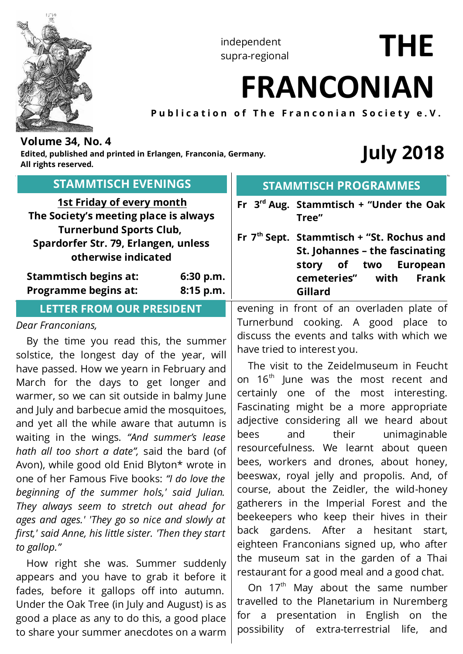

independent supra-regional

# **FRANCONIAN**

**Publication of The Franconian Society e.V.**

# **Volume 34, No. 4**

**Edited, published and printed in Erlangen, Franconia, Germany. All rights reserved.**

# **July 2018**

**THE**

| <b>STAMMTISCH EVENINGS</b>                |  |  |  |  |  |  |
|-------------------------------------------|--|--|--|--|--|--|
| 1st Friday of every month                 |  |  |  |  |  |  |
| The Society's meeting place is always     |  |  |  |  |  |  |
| <b>Turnerbund Sports Club,</b>            |  |  |  |  |  |  |
| Spardorfer Str. 79, Erlangen, unless      |  |  |  |  |  |  |
| otherwise indicated                       |  |  |  |  |  |  |
| <b>Stammtisch begins at:</b><br>6:30 p.m. |  |  |  |  |  |  |

**Programme begins at: 8:15 p.m.**

#### **LETTER FROM OUR PRESIDENT**

#### *Dear Franconians,*

 By the time you read this, the summer solstice, the longest day of the year, will have passed. How we yearn in February and March for the days to get longer and warmer, so we can sit outside in balmy June and July and barbecue amid the mosquitoes, and yet all the while aware that autumn is waiting in the wings. *"And summer's lease hath all too short a date",* said the bard (of Avon), while good old Enid Blyton\* wrote in one of her Famous Five books: *"I do love the beginning of the summer hols,' said Julian. They always seem to stretch out ahead for ages and ages.' 'They go so nice and slowly at first,' said Anne, his little sister. 'Then they start to gallop."*

 How right she was. Summer suddenly appears and you have to grab it before it fades, before it gallops off into autumn. Under the Oak Tree (in July and August) is as good a place as any to do this, a good place to share your summer anecdotes on a warm

#### **STAMMTISCH PROGRAMMES**

- **Fr 3rd Aug. Stammtisch + "Under the Oak Tree"**
- **Fr 7th Sept. Stammtisch + "St. Rochus and St. Johannes – the fascinating story of two European cemeteries" with Frank Gillard**

evening in front of an overladen plate of Turnerbund cooking. A good place to discuss the events and talks with which we have tried to interest you.

 The visit to the Zeidelmuseum in Feucht on 16<sup>th</sup> June was the most recent and certainly one of the most interesting. Fascinating might be a more appropriate adjective considering all we heard about bees and their unimaginable resourcefulness. We learnt about queen bees, workers and drones, about honey, beeswax, royal jelly and propolis. And, of course, about the Zeidler, the wild-honey gatherers in the Imperial Forest and the beekeepers who keep their hives in their back gardens. After a hesitant start, eighteen Franconians signed up, who after the museum sat in the garden of a Thai restaurant for a good meal and a good chat.

On  $17<sup>th</sup>$  May about the same number travelled to the Planetarium in Nuremberg for a presentation in English on the possibility of extra-terrestrial life, and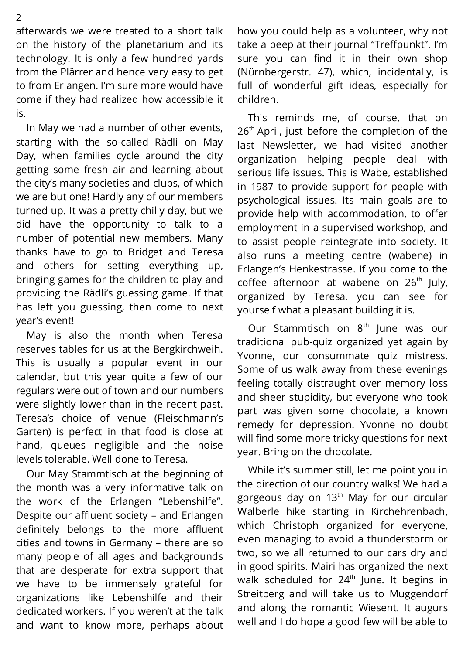afterwards we were treated to a short talk on the history of the planetarium and its technology. It is only a few hundred yards from the Plärrer and hence very easy to get to from Erlangen. I'm sure more would have come if they had realized how accessible it is.

 In May we had a number of other events, starting with the so-called Rädli on May Day, when families cycle around the city getting some fresh air and learning about the city's many societies and clubs, of which we are but one! Hardly any of our members turned up. It was a pretty chilly day, but we did have the opportunity to talk to a number of potential new members. Many thanks have to go to Bridget and Teresa and others for setting everything up, bringing games for the children to play and providing the Rädli's guessing game. If that has left you guessing, then come to next year's event!

 May is also the month when Teresa reserves tables for us at the Bergkirchweih. This is usually a popular event in our calendar, but this year quite a few of our regulars were out of town and our numbers were slightly lower than in the recent past. Teresa's choice of venue (Fleischmann's Garten) is perfect in that food is close at hand, queues negligible and the noise levels tolerable. Well done to Teresa.

 Our May Stammtisch at the beginning of the month was a very informative talk on the work of the Erlangen "Lebenshilfe". Despite our affluent society – and Erlangen definitely belongs to the more affluent cities and towns in Germany – there are so many people of all ages and backgrounds that are desperate for extra support that we have to be immensely grateful for organizations like Lebenshilfe and their dedicated workers. If you weren't at the talk and want to know more, perhaps about how you could help as a volunteer, why not take a peep at their journal "Treffpunkt". I'm sure you can find it in their own shop (Nürnbergerstr. 47), which, incidentally, is full of wonderful gift ideas, especially for children.

 This reminds me, of course, that on 26<sup>th</sup> April, just before the completion of the last Newsletter, we had visited another organization helping people deal with serious life issues. This is Wabe, established in 1987 to provide support for people with psychological issues. Its main goals are to provide help with accommodation, to offer employment in a supervised workshop, and to assist people reintegrate into society. It also runs a meeting centre (wabene) in Erlangen's Henkestrasse. If you come to the coffee afternoon at wabene on  $26<sup>th</sup>$  July, organized by Teresa, you can see for yourself what a pleasant building it is.

Our Stammtisch on 8<sup>th</sup> June was our traditional pub-quiz organized yet again by Yvonne, our consummate quiz mistress. Some of us walk away from these evenings feeling totally distraught over memory loss and sheer stupidity, but everyone who took part was given some chocolate, a known remedy for depression. Yvonne no doubt will find some more tricky questions for next year. Bring on the chocolate.

 While it's summer still, let me point you in the direction of our country walks! We had a gorgeous day on 13<sup>th</sup> May for our circular Walberle hike starting in Kirchehrenbach, which Christoph organized for everyone, even managing to avoid a thunderstorm or two, so we all returned to our cars dry and in good spirits. Mairi has organized the next walk scheduled for 24<sup>th</sup> June. It begins in Streitberg and will take us to Muggendorf and along the romantic Wiesent. It augurs well and I do hope a good few will be able to

 $\mathfrak{D}$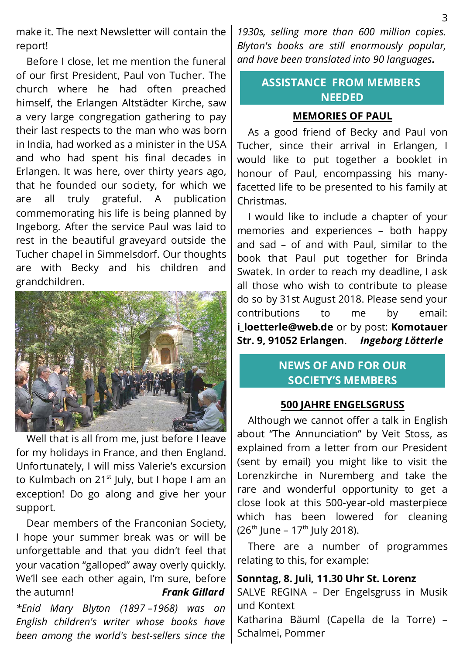make it. The next Newsletter will contain the report!

 Before I close, let me mention the funeral of our first President, Paul von Tucher. The church where he had often preached himself, the Erlangen Altstädter Kirche, saw a very large congregation gathering to pay their last respects to the man who was born in India, had worked as a minister in the USA and who had spent his final decades in Erlangen. It was here, over thirty years ago, that he founded our society, for which we are all truly grateful. A publication commemorating his life is being planned by Ingeborg. After the service Paul was laid to rest in the beautiful graveyard outside the Tucher chapel in Simmelsdorf. Our thoughts are with Becky and his children and grandchildren.



 Well that is all from me, just before I leave for my holidays in France, and then England. Unfortunately, I will miss Valerie's excursion to Kulmbach on  $21^{st}$  July, but I hope I am an exception! Do go along and give her your support.

 Dear members of the Franconian Society, I hope your summer break was or will be unforgettable and that you didn't feel that your vacation "galloped" away overly quickly. We'll see each other again, I'm sure, before the autumn! *Frank Gillard \*Enid Mary Blyton (1897 –1968) was an English children's writer whose books have been among the world's best-sellers since the*

*1930s, selling more than 600 million copies. Blyton's books are still enormously popular, and have been translated into 90 languages.*

#### **ASSISTANCE FROM MEMBERS NEEDED**

#### **MEMORIES OF PAUL**

 As a good friend of Becky and Paul von Tucher, since their arrival in Erlangen, I would like to put together a booklet in honour of Paul, encompassing his manyfacetted life to be presented to his family at Christmas.

 I would like to include a chapter of your memories and experiences – both happy and sad – of and with Paul, similar to the book that Paul put together for Brinda Swatek. In order to reach my deadline, I ask all those who wish to contribute to please do so by 31st August 2018. Please send your contributions to me by email: **i\_loetterle@web.de** or by post: **Komotauer Str. 9, 91052 Erlangen**.*Ingeborg Lötterle*

#### **NEWS OF AND FOR OUR SOCIETY'S MEMBERS**

#### **500 JAHRE ENGELSGRUSS**

 Although we cannot offer a talk in English about "The Annunciation" by Veit Stoss, as explained from a letter from our President (sent by email) you might like to visit the Lorenzkirche in Nuremberg and take the rare and wonderful opportunity to get a close look at this 500-year-old masterpiece which has been lowered for cleaning  $(26^{th}$  June – 17<sup>th</sup> July 2018).

 There are a number of programmes relating to this, for example:

#### **Sonntag, 8. Juli, 11.30 Uhr St. Lorenz**

SALVE REGINA – Der Engelsgruss in Musik und Kontext

Katharina Bäuml (Capella de la Torre) – Schalmei, Pommer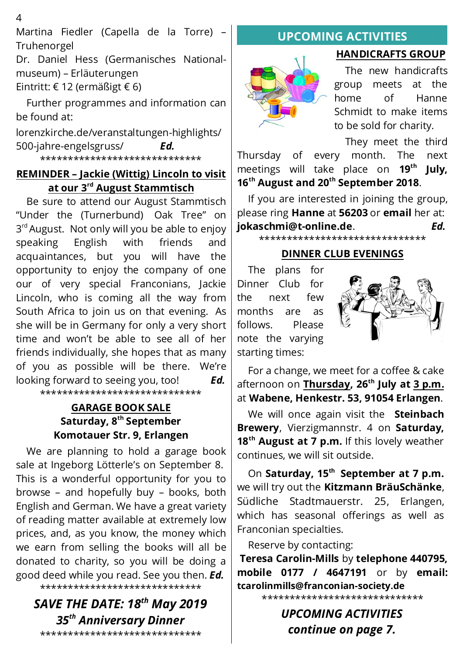$\Delta$ 

Martina Fiedler (Capella de la Torre) – Truhenorgel

Dr. Daniel Hess (Germanisches Nationalmuseum) – Erläuterungen Eintritt: € 12 (ermäßigt € 6)

 Further programmes and information can be found at:

lorenzkirche.de/veranstaltungen-highlights/ 500-jahre-engelsgruss/ *Ed.*

\*\*\*\*\*\*\*\*\*\*\*\*\*\*\*\*\*\*\*\*\*\*\*\*\*\*\*\*\*

# **REMINDER – Jackie (Wittig) Lincoln to visit at our 3rd August Stammtisch**

 Be sure to attend our August Stammtisch "Under the (Turnerbund) Oak Tree" on 3<sup>rd</sup> August. Not only will you be able to enjoy speaking English with friends and acquaintances, but you will have the opportunity to enjoy the company of one our of very special Franconians, Jackie Lincoln, who is coming all the way from South Africa to join us on that evening. As she will be in Germany for only a very short time and won't be able to see all of her friends individually, she hopes that as many of you as possible will be there. We're looking forward to seeing you, too! *Ed.* \*\*\*\*\*\*\*\*\*\*\*\*\*\*\*\*\*\*\*\*\*\*\*\*\*\*\*\*\*

# **GARAGE BOOK SALE Saturday, 8th September Komotauer Str. 9, Erlangen**

 We are planning to hold a garage book sale at Ingeborg Lötterle's on September 8. This is a wonderful opportunity for you to browse – and hopefully buy – books, both English and German. We have a great variety of reading matter available at extremely low prices, and, as you know, the money which we earn from selling the books will all be donated to charity, so you will be doing a good deed while you read. See you then. *Ed.* \*\*\*\*\*\*\*\*\*\*\*\*\*\*\*\*\*\*\*\*\*\*\*\*\*\*\*\*\*

# *SAVE THE DATE: 18th May 2019 35th Anniversary Dinner*

\*\*\*\*\*\*\*\*\*\*\*\*\*\*\*\*\*\*\*\*\*\*\*\*\*\*\*\*\*

# **UPCOMING ACTIVITIES**



#### **HANDICRAFTS GROUP**

 The new handicrafts group meets at the home of Hanne Schmidt to make items to be sold for charity.

They meet the third

Thursday of every month. The next meetings will take place on **19th July, 16th August and 20th September 2018**.

 If you are interested in joining the group, please ring **Hanne** at **56203** or **email** her at: **jokaschmi@t-online.de**. *Ed.*

\*\*\*\*\*\*\*\*\*\*\*\*\*\*\*\*\*\*\*\*\*\*\*\*\*\*\*\*\*\*

#### **DINNER CLUB EVENINGS**

 The plans for Dinner Club for the next few months are as follows. Please note the varying starting times:



 For a change, we meet for a coffee & cake afternoon on **Thursday, 26th July at 3 p.m.** at **Wabene, Henkestr. 53, 91054 Erlangen**.

 We will once again visit the **Steinbach Brewery**, Vierzigmannstr. 4 on **Saturday,** 18<sup>th</sup> August at 7 p.m. If this lovely weather continues, we will sit outside.

 On **Saturday, 15th September at 7 p.m.** we will try out the **Kitzmann BräuSchänke**, Südliche Stadtmauerstr. 25, Erlangen, which has seasonal offerings as well as Franconian specialties.

Reserve by contacting:

**Teresa Carolin-Mills** by **telephone 440795, mobile 0177 / 4647191** or by **email: tcarolinmills@franconian-society.de**

\*\*\*\*\*\*\*\*\*\*\*\*\*\*\*\*\*\*\*\*\*\*\*\*\*\*\*\*\*

*UPCOMING ACTIVITIES continue on page 7.*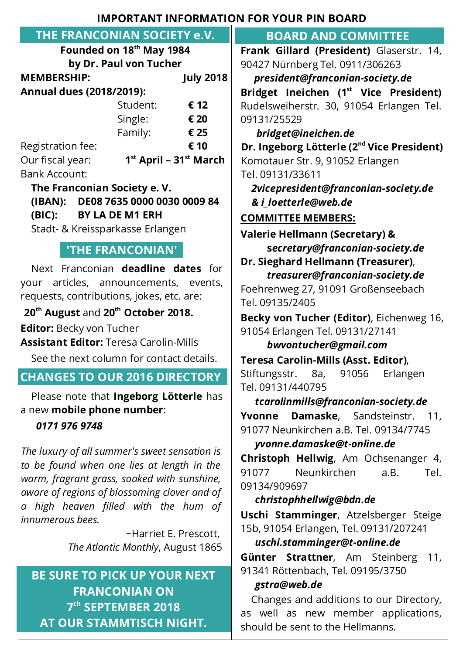# **IMPORTANT INFORMATION FOR YOUR PIN BOARD**

| THE FRANCONIAN SOCIETY e.V.                                | <b>BOARD AND COMMITTEE</b>                                                                                                                                              |  |  |  |
|------------------------------------------------------------|-------------------------------------------------------------------------------------------------------------------------------------------------------------------------|--|--|--|
| Founded on 18 <sup>th</sup> May 1984                       | Frank Gillard (President) Glaserstr. 14,                                                                                                                                |  |  |  |
| by Dr. Paul von Tucher                                     | 90427 Nürnberg Tel. 0911/306263                                                                                                                                         |  |  |  |
| <b>MEMBERSHIP:</b><br><b>July 2018</b>                     | president@franconian-society.de                                                                                                                                         |  |  |  |
| Annual dues (2018/2019):                                   | Bridget Ineichen (1 <sup>st</sup> Vice President)                                                                                                                       |  |  |  |
| Student:<br>€ 12                                           | Rudelsweiherstr. 30, 91054 Erlangen Tel.                                                                                                                                |  |  |  |
| Single:<br>€ 20                                            | 09131/25529                                                                                                                                                             |  |  |  |
| Family:<br>€ 25                                            | bridget@ineichen.de                                                                                                                                                     |  |  |  |
| € 10<br>Registration fee:                                  | Dr. Ingeborg Lötterle (2 <sup>nd</sup> Vice President)                                                                                                                  |  |  |  |
| $1st$ April - 31 $st$ March<br>Our fiscal year:            | Komotauer Str. 9, 91052 Erlangen                                                                                                                                        |  |  |  |
| <b>Bank Account:</b>                                       | Tel. 09131/33611                                                                                                                                                        |  |  |  |
| The Franconian Society e.V.                                | 2vicepresident@franconian-society.de                                                                                                                                    |  |  |  |
| DE08 7635 0000 0030 0009 84<br>(IBAN):                     | & i_loetterle@web.de                                                                                                                                                    |  |  |  |
| (BIC): BY LA DE M1 ERH                                     | <b>COMMITTEE MEMBERS:</b>                                                                                                                                               |  |  |  |
| Stadt- & Kreissparkasse Erlangen                           | <b>Valerie Hellmann (Secretary) &amp;</b>                                                                                                                               |  |  |  |
| <b>'THE FRANCONIAN'</b>                                    | secretary@franconian-society.de                                                                                                                                         |  |  |  |
|                                                            | Dr. Sieghard Hellmann (Treasurer),                                                                                                                                      |  |  |  |
| Next Franconian deadline dates for                         | treasurer@franconian-society.de<br>Foehrenweg 27, 91091 Großenseebach<br>Tel. 09135/2405<br>Becky von Tucher (Editor), Eichenweg 16,<br>91054 Erlangen Tel. 09131/27141 |  |  |  |
| articles, announcements, events,<br>your                   |                                                                                                                                                                         |  |  |  |
| requests, contributions, jokes, etc. are:                  |                                                                                                                                                                         |  |  |  |
| 20 <sup>th</sup> August and 20 <sup>th</sup> October 2018. |                                                                                                                                                                         |  |  |  |
| <b>Editor:</b> Becky von Tucher                            |                                                                                                                                                                         |  |  |  |
| <b>Assistant Editor: Teresa Carolin-Mills</b>              | bwvontucher@gmail.com                                                                                                                                                   |  |  |  |
| See the next column for contact details.                   | Teresa Carolin-Mills (Asst. Editor),                                                                                                                                    |  |  |  |
| <b>CHANGES TO OUR 2016 DIRECTORY</b>                       | 91056<br>Stiftungsstr. 8a,<br>Erlangen                                                                                                                                  |  |  |  |
|                                                            | Tel. 09131/440795                                                                                                                                                       |  |  |  |
| Please note that Ingeborg Lötterle has                     | tcarolinmills@franconian-society.de                                                                                                                                     |  |  |  |
| a new mobile phone number:                                 | <b>Damaske,</b> Sandsteinstr. 11,<br>Yvonne                                                                                                                             |  |  |  |
| 0171 976 9748                                              | 91077 Neunkirchen a.B. Tel. 09134/7745                                                                                                                                  |  |  |  |
| The luxury of all summer's sweet sensation is              | yvonne.damaske@t-online.de                                                                                                                                              |  |  |  |
| to be found when one lies at length in the                 | Christoph Hellwig, Am Ochsenanger 4,                                                                                                                                    |  |  |  |
| warm, fragrant grass, soaked with sunshine,                | Neunkirchen<br>91077<br>a.B.<br>Tel.                                                                                                                                    |  |  |  |
| aware of regions of blossoming clover and of               | 09134/909697                                                                                                                                                            |  |  |  |
| a high heaven filled with the hum of                       | christophhellwig@bdn.de                                                                                                                                                 |  |  |  |
| <i>innumerous bees.</i>                                    | Uschi Stamminger, Atzelsberger Steige                                                                                                                                   |  |  |  |
| ~Harriet E. Prescott,                                      | 15b, 91054 Erlangen, Tel. 09131/207241                                                                                                                                  |  |  |  |
| The Atlantic Monthly, August 1865                          | uschi.stamminger@t-online.de                                                                                                                                            |  |  |  |
|                                                            | Günter Strattner, Am Steinberg<br>11,                                                                                                                                   |  |  |  |
| BE SURE TO PICK UP YOUR NEXT                               | 91341 Röttenbach, Tel. 09195/3750                                                                                                                                       |  |  |  |
| <b>FRANCONIAN ON</b>                                       | gstra@web.de                                                                                                                                                            |  |  |  |
|                                                            | Changes and additions to our Directory,                                                                                                                                 |  |  |  |
| 7 <sup>th</sup> SEPTEMBER 2018                             | as well as new member annications                                                                                                                                       |  |  |  |

**AT OUR STAMMTISCH NIGHT.**

as well as new member applications, should be sent to the Hellmanns.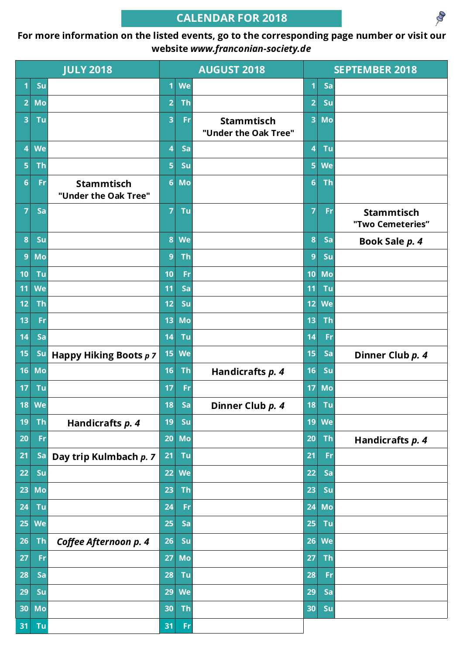# **CALENDAR FOR 2018**

#### **For more information on the listed events, go to the corresponding page number or visit our website** *www.franconian-society.de*

| <b>JULY 2018</b> |           | <b>AUGUST 2018</b>                        |                         | <b>SEPTEMBER 2018</b> |                                           |                |           |                                       |
|------------------|-----------|-------------------------------------------|-------------------------|-----------------------|-------------------------------------------|----------------|-----------|---------------------------------------|
| 1                | Su        |                                           | 1                       | We                    |                                           | 1              | Sa        |                                       |
| $\overline{2}$   | <b>Mo</b> |                                           | $\overline{2}$          | <b>Th</b>             |                                           | $\overline{2}$ | Su        |                                       |
| 3                | Tu        |                                           | 3                       | Fr                    | <b>Stammtisch</b><br>"Under the Oak Tree" | 3              | <b>Mo</b> |                                       |
| 4                | <b>We</b> |                                           | $\overline{\mathbf{4}}$ | Sa                    |                                           | 4              | Tu        |                                       |
| 5                | <b>Th</b> |                                           | 5                       | Su                    |                                           | 5              | We        |                                       |
| $6\phantom{1}$   | Fr        | <b>Stammtisch</b><br>"Under the Oak Tree" | $6\phantom{1}$          | Mo                    |                                           | $6\phantom{1}$ | <b>Th</b> |                                       |
| 7                | Sa        |                                           | $\overline{7}$          | Tu                    |                                           | $\overline{7}$ | Fr        | <b>Stammtisch</b><br>"Two Cemeteries" |
| 8                | Su        |                                           | 8                       | We                    |                                           | 8              | Sa        | Book Sale p. 4                        |
| 9                | Mo        |                                           | $\overline{9}$          | <b>Th</b>             |                                           | 9              | Su        |                                       |
| 10               | Tu        |                                           | 10                      | Fr                    |                                           | 10             | Mo        |                                       |
| 11               | <b>We</b> |                                           | 11                      | Sa                    |                                           | 11             | Tu        |                                       |
| 12               | <b>Th</b> |                                           | 12                      | Su                    |                                           | 12             | We        |                                       |
| 13               | Fr        |                                           | 13                      | Mo                    |                                           | 13             | <b>Th</b> |                                       |
| 14               | Sa        |                                           | 14                      | Tu                    |                                           | 14             | Fr        |                                       |
| 15               | Su        | Happy Hiking Boots p 7                    | 15                      | We                    |                                           | 15             | Sa        | Dinner Club p. 4                      |
| 16               | <b>Mo</b> |                                           | 16                      | <b>Th</b>             | Handicrafts p. 4                          | 16             | Su        |                                       |
| 17               | Tu        |                                           | 17                      | Fr                    |                                           | 17             | Mo        |                                       |
| 18               | We        |                                           | 18                      | Sa                    | Dinner Club p. 4                          |                | $18$ Tu   |                                       |
| 19               | <b>Th</b> | Handicrafts p. 4                          | 19                      | Su                    |                                           | 19             | We        |                                       |
| 20               | Fr        |                                           | 20                      | Mo                    |                                           | 20             | <b>Th</b> | Handicrafts p. 4                      |
| 21               | Sa        | Day trip Kulmbach p. 7                    | 21                      | Tu                    |                                           | 21             | Fr        |                                       |
| 22               | Su        |                                           | 22                      | We                    |                                           | 22             | Sa        |                                       |
| 23               | Mo        |                                           | 23                      | <b>Th</b>             |                                           | 23             | Su        |                                       |
| $\overline{24}$  | Tu        |                                           | 24                      | Fr                    |                                           | 24             | Mo        |                                       |
| 25               | <b>We</b> |                                           | 25                      | Sa                    |                                           | 25             | Tu        |                                       |
| 26               | <b>Th</b> | Coffee Afternoon p. 4                     | 26                      | Su                    |                                           | 26             | We        |                                       |
| 27               | Fr        |                                           | 27                      | Mo                    |                                           | 27             | <b>Th</b> |                                       |
| 28               | Sa        |                                           | 28                      | Tu                    |                                           | 28             | Fr        |                                       |
| 29               | Su        |                                           | 29                      | We                    |                                           | 29             | Sa        |                                       |
| 30               | Mo        |                                           | 30                      | <b>Th</b>             |                                           | 30             | Su        |                                       |
| 31               | Tu        |                                           | 31                      | Fr                    |                                           |                |           |                                       |

D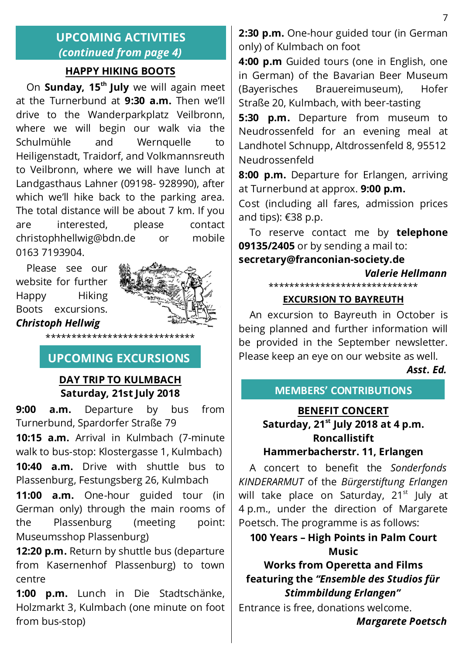# **UPCOMING ACTIVITIES** *(continued from page 4)*

#### **HAPPY HIKING BOOTS**

 On **Sunday, 15th July** we will again meet at the Turnerbund at **9:30 a.m.** Then we'll drive to the Wanderparkplatz Veilbronn, where we will begin our walk via the Schulmühle and Wernquelle to Heiligenstadt, Traidorf, and Volkmannsreuth to Veilbronn, where we will have lunch at Landgasthaus Lahner (09198- 928990), after which we'll hike back to the parking area. The total distance will be about 7 km. If you are interested, please contact christophhellwig@bdn.de or mobile 0163 7193904.

 Please see our website for further Happy Hiking Boots excursions.

#### *Christoph Hellwig*

\*\*\*\*\*\*\*\*\*\*\*\*\*\*\*\*\*\*\*\*\*\*\*\*\*\*\*\*\*

# **UPCOMING EXCURSIONS**

#### **DAY TRIP TO KULMBACH Saturday, 21st July 2018**

**9:00 a.m.** Departure by bus from Turnerbund, Spardorfer Straße 79 **10:15 a.m.** Arrival in Kulmbach (7-minute walk to bus-stop: Klostergasse 1, Kulmbach)

**10:40 a.m.** Drive with shuttle bus to Plassenburg, Festungsberg 26, Kulmbach

**11:00 a.m.** One-hour guided tour (in German only) through the main rooms of the Plassenburg (meeting point: Museumsshop Plassenburg)

**12:20 p.m.** Return by shuttle bus (departure from Kasernenhof Plassenburg) to town centre

**1:00 p.m.** Lunch in Die Stadtschänke, Holzmarkt 3, Kulmbach (one minute on foot from bus-stop)

**2:30 p.m.** One-hour guided tour (in German only) of Kulmbach on foot

**4:00 p.m** Guided tours (one in English, one in German) of the Bavarian Beer Museum (Bayerisches Brauereimuseum), Hofer Straße 20, Kulmbach, with beer-tasting

**5:30 p.m.** Departure from museum to Neudrossenfeld for an evening meal at Landhotel Schnupp, Altdrossenfeld 8, 95512 Neudrossenfeld

**8:00 p.m.** Departure for Erlangen, arriving at Turnerbund at approx. **9:00 p.m.**

Cost (including all fares, admission prices and tips): €38 p.p.

 To reserve contact me by **telephone 09135/2405** or by sending a mail to:

**secretary@franconian-society.de**

*Valerie Hellmann* \*\*\*\*\*\*\*\*\*\*\*\*\*\*\*\*\*\*\*\*\*\*\*\*\*\*\*\*\*

**EXCURSION TO BAYREUTH**

 An excursion to Bayreuth in October is being planned and further information will be provided in the September newsletter. Please keep an eye on our website as well.

*Asst. Ed.*

7

#### **MEMBERS' CONTRIBUTIONS**

#### **BENEFIT CONCERT Saturday, 21st July 2018 at 4 p.m. Roncallistift Hammerbacherstr. 11, Erlangen**

 A concert to benefit the *Sonderfonds KINDERARMUT* of the *Bürgerstiftung Erlangen* will take place on Saturday,  $21^{st}$  July at 4 p.m., under the direction of Margarete Poetsch. The programme is as follows:

**100 Years – High Points in Palm Court Music**

**Works from Operetta and Films featuring the** *"Ensemble des Studios für Stimmbildung Erlangen"*

Entrance is free, donations welcome.

*Margarete Poetsch*